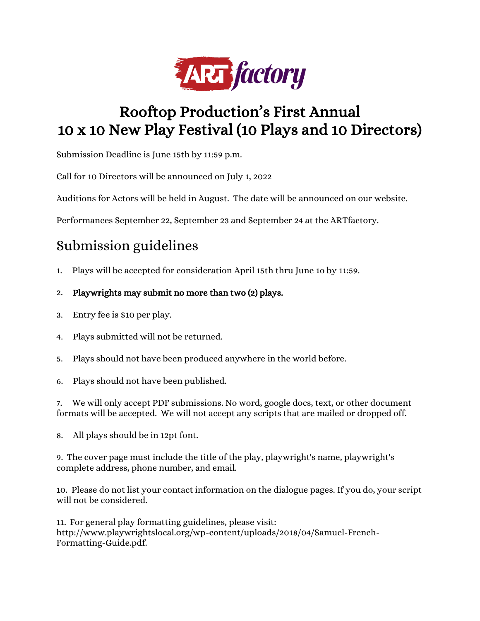

## Rooftop Production's First Annual 10 x 10 New Play Festival (10 Plays and 10 Directors)

Submission Deadline is June 15th by 11:59 p.m.

Call for 10 Directors will be announced on July 1, 2022

Auditions for Actors will be held in August. The date will be announced on our website.

Performances September 22, September 23 and September 24 at the ARTfactory.

## Submission guidelines

1. Plays will be accepted for consideration April 15th thru June 1o by 11:59.

## 2. Playwrights may submit no more than two (2) plays.

- 3. Entry fee is \$10 per play.
- 4. Plays submitted will not be returned.
- 5. Plays should not have been produced anywhere in the world before.
- 6. Plays should not have been published.

7. We will only accept PDF submissions. No word, google docs, text, or other document formats will be accepted. We will not accept any scripts that are mailed or dropped off.

8. All plays should be in 12pt font.

9. The cover page must include the title of the play, playwright's name, playwright's complete address, phone number, and email.

10. Please do not list your contact information on the dialogue pages. If you do, your script will not be considered.

11. For general play formatting guidelines, please visit: [http://www.playwrightslocal.org/wp-content/uploads/2018/04/Samuel-French-](http://www.playwrightslocal.org/wp-content/uploads/2018/04/Samuel-French-Formatting-Guide.pdf)[Formatting-Guide.pdf.](http://www.playwrightslocal.org/wp-content/uploads/2018/04/Samuel-French-Formatting-Guide.pdf)